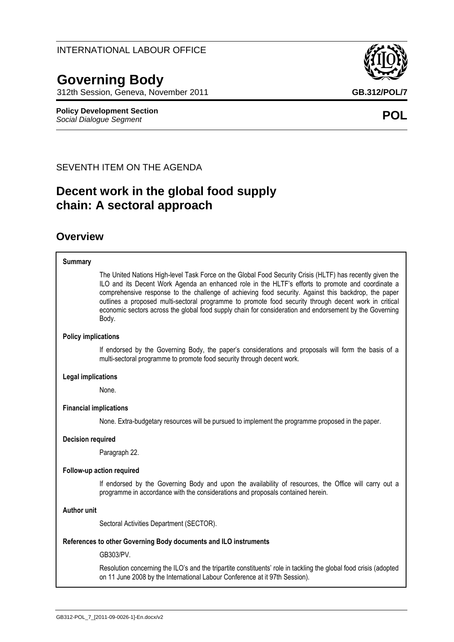# **Governing Body**

312th Session, Geneva, November 2011 **GB.312/POL/7**

**Policy Development Section** *Social Dialogue Segment* **POL**

SEVENTH ITEM ON THE AGENDA

## **Decent work in the global food supply chain: A sectoral approach**

### **Overview**

#### **Summary**

The United Nations High-level Task Force on the Global Food Security Crisis (HLTF) has recently given the ILO and its Decent Work Agenda an enhanced role in the HLTF's efforts to promote and coordinate a comprehensive response to the challenge of achieving food security. Against this backdrop, the paper outlines a proposed multi-sectoral programme to promote food security through decent work in critical economic sectors across the global food supply chain for consideration and endorsement by the Governing Body.

#### **Policy implications**

If endorsed by the Governing Body, the paper's considerations and proposals will form the basis of a multi-sectoral programme to promote food security through decent work.

#### **Legal implications**

None.

#### **Financial implications**

None. Extra-budgetary resources will be pursued to implement the programme proposed in the paper.

#### **Decision required**

Paragraph 22.

#### **Follow-up action required**

If endorsed by the Governing Body and upon the availability of resources, the Office will carry out a programme in accordance with the considerations and proposals contained herein.

#### **Author unit**

Sectoral Activities Department (SECTOR).

#### **References to other Governing Body documents and ILO instruments**

GB303/PV.

Resolution concerning the ILO's and the tripartite constituents' role in tackling the global food crisis (adopted on 11 June 2008 by the International Labour Conference at it 97th Session).



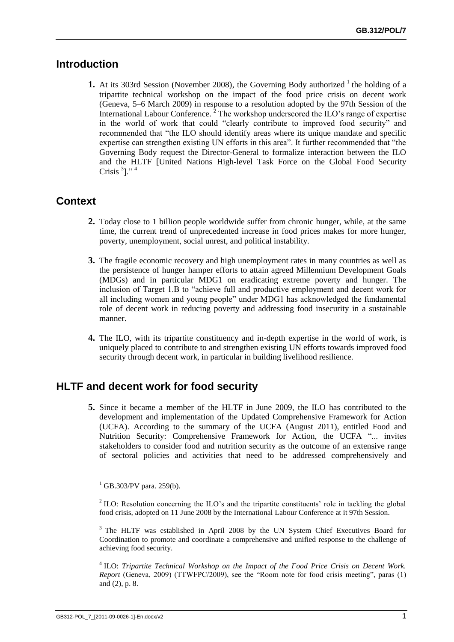### **Introduction**

**1.** At its 303rd Session (November 2008), the Governing Body authorized <sup>1</sup> the holding of a tripartite technical workshop on the impact of the food price crisis on decent work (Geneva, 5–6 March 2009) in response to a resolution adopted by the 97th Session of the International Labour Conference.<sup>2</sup> The workshop underscored the ILO's range of expertise in the world of work that could "clearly contribute to improved food security" and recommended that "the ILO should identify areas where its unique mandate and specific expertise can strengthen existing UN efforts in this area". It further recommended that "the Governing Body request the Director-General to formalize interaction between the ILO and the HLTF [United Nations High-level Task Force on the Global Food Security Crisis  $3$ ]."  $4$ 

### **Context**

- **2.** Today close to 1 billion people worldwide suffer from chronic hunger, while, at the same time, the current trend of unprecedented increase in food prices makes for more hunger, poverty, unemployment, social unrest, and political instability.
- **3.** The fragile economic recovery and high unemployment rates in many countries as well as the persistence of hunger hamper efforts to attain agreed Millennium Development Goals (MDGs) and in particular MDG1 on eradicating extreme poverty and hunger. The inclusion of Target 1.B to "achieve full and productive employment and decent work for all including women and young people" under MDG1 has acknowledged the fundamental role of decent work in reducing poverty and addressing food insecurity in a sustainable manner.
- **4.** The ILO, with its tripartite constituency and in-depth expertise in the world of work, is uniquely placed to contribute to and strengthen existing UN efforts towards improved food security through decent work, in particular in building livelihood resilience.

### **HLTF and decent work for food security**

**5.** Since it became a member of the HLTF in June 2009, the ILO has contributed to the development and implementation of the Updated Comprehensive Framework for Action (UCFA). According to the summary of the UCFA (August 2011), entitled Food and Nutrition Security: Comprehensive Framework for Action, the UCFA "... invites stakeholders to consider food and nutrition security as the outcome of an extensive range of sectoral policies and activities that need to be addressed comprehensively and

 $^{1}$  GB.303/PV para. 259(b).

 $2^2$  ILO: Resolution concerning the ILO's and the tripartite constituents' role in tackling the global food crisis, adopted on 11 June 2008 by the International Labour Conference at it 97th Session.

<sup>3</sup> The HLTF was established in April 2008 by the UN System Chief Executives Board for Coordination to promote and coordinate a comprehensive and unified response to the challenge of achieving food security.

<sup>4</sup> ILO: *Tripartite Technical Workshop on the Impact of the Food Price Crisis on Decent Work. Report* (Geneva, 2009) (TTWFPC/2009), see the "Room note for food crisis meeting", paras (1) and (2), p. 8.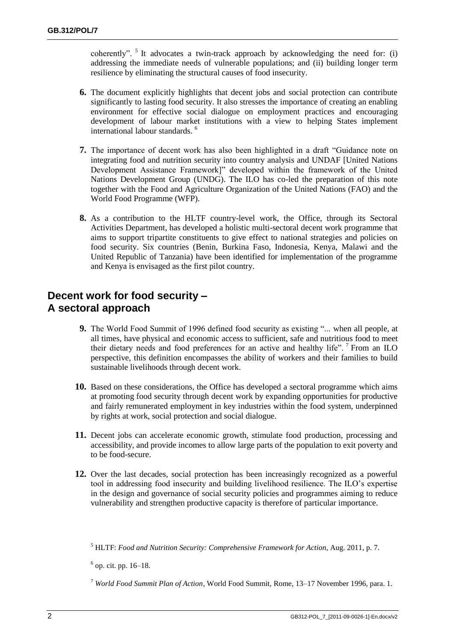coherently". <sup>5</sup> It advocates a twin-track approach by acknowledging the need for: (i) addressing the immediate needs of vulnerable populations; and (ii) building longer term resilience by eliminating the structural causes of food insecurity.

- **6.** The document explicitly highlights that decent jobs and social protection can contribute significantly to lasting food security. It also stresses the importance of creating an enabling environment for effective social dialogue on employment practices and encouraging development of labour market institutions with a view to helping States implement international labour standards. <sup>6</sup>
- **7.** The importance of decent work has also been highlighted in a draft "Guidance note on integrating food and nutrition security into country analysis and UNDAF [United Nations Development Assistance Framework]" developed within the framework of the United Nations Development Group (UNDG). The ILO has co-led the preparation of this note together with the Food and Agriculture Organization of the United Nations (FAO) and the World Food Programme (WFP).
- **8.** As a contribution to the HLTF country-level work, the Office, through its Sectoral Activities Department, has developed a holistic multi-sectoral decent work programme that aims to support tripartite constituents to give effect to national strategies and policies on food security. Six countries (Benin, Burkina Faso, Indonesia, Kenya, Malawi and the United Republic of Tanzania) have been identified for implementation of the programme and Kenya is envisaged as the first pilot country.

### **Decent work for food security – A sectoral approach**

- **9.** The World Food Summit of 1996 defined food security as existing "... when all people, at all times, have physical and economic access to sufficient, safe and nutritious food to meet their dietary needs and food preferences for an active and healthy life". <sup>7</sup> From an ILO perspective, this definition encompasses the ability of workers and their families to build sustainable livelihoods through decent work.
- **10.** Based on these considerations, the Office has developed a sectoral programme which aims at promoting food security through decent work by expanding opportunities for productive and fairly remunerated employment in key industries within the food system, underpinned by rights at work, social protection and social dialogue.
- **11.** Decent jobs can accelerate economic growth, stimulate food production, processing and accessibility, and provide incomes to allow large parts of the population to exit poverty and to be food-secure.
- **12.** Over the last decades, social protection has been increasingly recognized as a powerful tool in addressing food insecurity and building livelihood resilience. The ILO's expertise in the design and governance of social security policies and programmes aiming to reduce vulnerability and strengthen productive capacity is therefore of particular importance.

<sup>5</sup> HLTF: *Food and Nutrition Security: Comprehensive Framework for Action*, Aug. 2011, p. 7.

 $<sup>6</sup>$  op. cit. pp. 16–18.</sup>

<sup>7</sup> *World Food Summit Plan of Action*, World Food Summit, Rome, 13–17 November 1996, para. 1.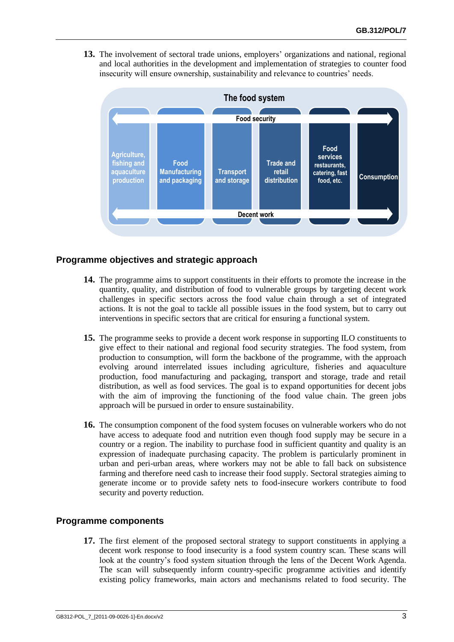**13.** The involvement of sectoral trade unions, employers' organizations and national, regional and local authorities in the development and implementation of strategies to counter food insecurity will ensure ownership, sustainability and relevance to countries' needs.



### **Programme objectives and strategic approach**

- **14.** The programme aims to support constituents in their efforts to promote the increase in the quantity, quality, and distribution of food to vulnerable groups by targeting decent work challenges in specific sectors across the food value chain through a set of integrated actions. It is not the goal to tackle all possible issues in the food system, but to carry out interventions in specific sectors that are critical for ensuring a functional system.
- **15.** The programme seeks to provide a decent work response in supporting ILO constituents to give effect to their national and regional food security strategies. The food system, from production to consumption, will form the backbone of the programme, with the approach evolving around interrelated issues including agriculture, fisheries and aquaculture production, food manufacturing and packaging, transport and storage, trade and retail distribution, as well as food services. The goal is to expand opportunities for decent jobs with the aim of improving the functioning of the food value chain. The green jobs approach will be pursued in order to ensure sustainability.
- **16.** The consumption component of the food system focuses on vulnerable workers who do not have access to adequate food and nutrition even though food supply may be secure in a country or a region. The inability to purchase food in sufficient quantity and quality is an expression of inadequate purchasing capacity. The problem is particularly prominent in urban and peri-urban areas, where workers may not be able to fall back on subsistence farming and therefore need cash to increase their food supply. Sectoral strategies aiming to generate income or to provide safety nets to food-insecure workers contribute to food security and poverty reduction.

#### **Programme components**

**17.** The first element of the proposed sectoral strategy to support constituents in applying a decent work response to food insecurity is a food system country scan. These scans will look at the country's food system situation through the lens of the Decent Work Agenda. The scan will subsequently inform country-specific programme activities and identify existing policy frameworks, main actors and mechanisms related to food security. The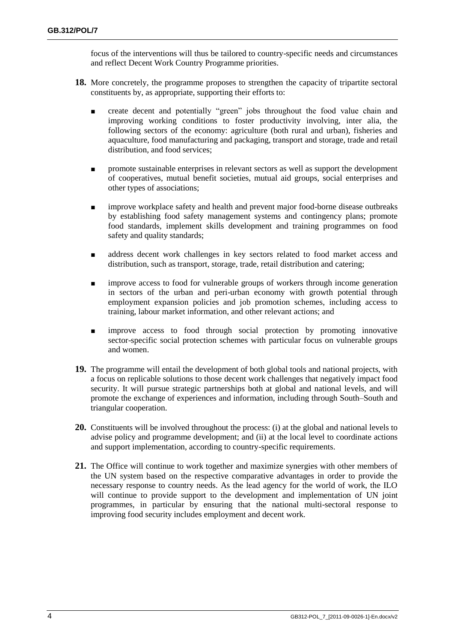focus of the interventions will thus be tailored to country-specific needs and circumstances and reflect Decent Work Country Programme priorities.

- **18.** More concretely, the programme proposes to strengthen the capacity of tripartite sectoral constituents by, as appropriate, supporting their efforts to:
	- create decent and potentially "green" jobs throughout the food value chain and improving working conditions to foster productivity involving, inter alia, the following sectors of the economy: agriculture (both rural and urban), fisheries and aquaculture, food manufacturing and packaging, transport and storage, trade and retail distribution, and food services;
	- promote sustainable enterprises in relevant sectors as well as support the development of cooperatives, mutual benefit societies, mutual aid groups, social enterprises and other types of associations;
	- improve workplace safety and health and prevent major food-borne disease outbreaks by establishing food safety management systems and contingency plans; promote food standards, implement skills development and training programmes on food safety and quality standards;
	- address decent work challenges in key sectors related to food market access and distribution, such as transport, storage, trade, retail distribution and catering;
	- improve access to food for vulnerable groups of workers through income generation in sectors of the urban and peri-urban economy with growth potential through employment expansion policies and job promotion schemes, including access to training, labour market information, and other relevant actions; and
	- improve access to food through social protection by promoting innovative sector-specific social protection schemes with particular focus on vulnerable groups and women.
- **19.** The programme will entail the development of both global tools and national projects, with a focus on replicable solutions to those decent work challenges that negatively impact food security. It will pursue strategic partnerships both at global and national levels, and will promote the exchange of experiences and information, including through South–South and triangular cooperation.
- **20.** Constituents will be involved throughout the process: (i) at the global and national levels to advise policy and programme development; and (ii) at the local level to coordinate actions and support implementation, according to country-specific requirements.
- **21.** The Office will continue to work together and maximize synergies with other members of the UN system based on the respective comparative advantages in order to provide the necessary response to country needs. As the lead agency for the world of work, the ILO will continue to provide support to the development and implementation of UN joint programmes, in particular by ensuring that the national multi-sectoral response to improving food security includes employment and decent work.